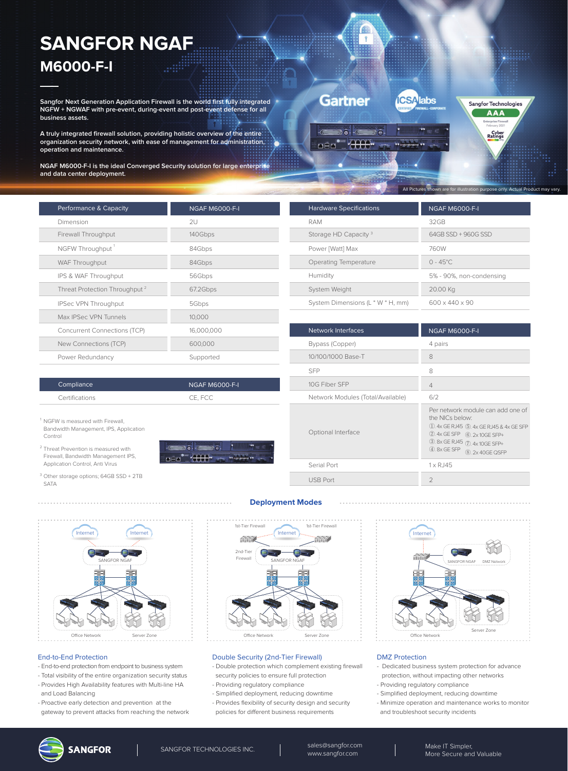# **SANGFOR NGAF M6000-F-I**

**Sangfor Next Generation Application Firewall is the world first fully integrated NGFW + NGWAF with pre-event, during-event and post-event defense for all business assets.** 

**A truly integrated firewall solution, providing holistic overview of the entire organization security network, with ease of management for administration, operation and maintenance.**

**NGAF M6000-F-I is the ideal Converged Security solution for large enterprise and data center deployment.**

| Performance & Capacity                    | <b>NGAF M6000-F-I</b> |
|-------------------------------------------|-----------------------|
| Dimension                                 | 2U                    |
| Firewall Throughput                       | 140Gbps               |
| NGFW Throughput                           | 84Gbps                |
| WAF Throughput                            | 84Gbps                |
| IPS & WAF Throughput                      | 56Gbps                |
| Threat Protection Throughput <sup>2</sup> | 67.2Gbps              |
| IPSec VPN Throughput                      | 5Gbps                 |
| Max IPSec VPN Tunnels                     | 10,000                |
| <b>Concurrent Connections (TCP)</b>       | 16,000,000            |
| New Connections (TCP)                     | 600,000               |
| Power Redundancy                          | Supported             |

NGAF M6000-F-I CE, FCC

. ā. .  $-$ HH $-$ 

| <b>Hardware Specifications</b>    | NGAF M6000-F-I             |  |
|-----------------------------------|----------------------------|--|
| <b>RAM</b>                        | 32 GB                      |  |
| Storage HD Capacity <sup>3</sup>  | 64GB SSD + 960G SSD        |  |
| Power [Watt] Max                  | 760W                       |  |
| Operating Temperature             | $0 - 45^{\circ}$ C         |  |
| Humidity                          | 5% - 90%, non-condensing   |  |
| System Weight                     | 20.00 Kg                   |  |
| System Dimensions (L * W * H, mm) | $600 \times 440 \times 90$ |  |

All Pictures shown are for illustration purpose only. Actual Product may vary.

Sangfor Technologies **AAA** 

Cyber<br>Ratings

| <b>Network Interfaces</b>         | <b>NGAF M6000-F-I</b>                                                                                                                                                                                  |
|-----------------------------------|--------------------------------------------------------------------------------------------------------------------------------------------------------------------------------------------------------|
| Bypass (Copper)                   | 4 pairs                                                                                                                                                                                                |
| 10/100/1000 Base-T                | 8                                                                                                                                                                                                      |
| <b>SFP</b>                        | 8                                                                                                                                                                                                      |
| 10G Fiber SFP                     | $\overline{4}$                                                                                                                                                                                         |
| Network Modules (Total/Available) | 6/2                                                                                                                                                                                                    |
| Optional Interface                | Per network module can add one of<br>the NICs below:<br>1. 4x GE RJ45 (5). 4x GE RJ45 & 4x GE SFP<br>2.4x GE SFP 6.2x 10GE SFP+<br>3. 8x GE RJ45 (7). 4x 10GE SFP+<br>4.8x GE SFP<br>(8), 2x 40GE QSFP |
| Serial Port                       | $1 \times R$ . 145                                                                                                                                                                                     |
| <b>USB Port</b>                   | $\mathcal{P}$                                                                                                                                                                                          |



#### End-to-End Protection

Compliance Certifications

Control

SATA

<sup>1</sup> NGFW is measured with Firewall, Bandwidth Management, IPS, Application

<sup>2</sup> Threat Prevention is measured with Firewall, Bandwidth Management IPS, Application Control, Anti Virus <sup>3</sup> Other storage options; 64GB SSD + 2TB

- End-to-end protection from endpoint to business system
- Total visibility of the entire organization security status
- Provides High Availability features with Multi-line HA and Load Balancing
- Proactive early detection and prevention at the gateway to prevent attacks from reaching the network



**Deployment Modes**

#### Double Security (2nd-Tier Firewall)

- Double protection which complement existing firewall
- security policies to ensure full protection
- Providing regulatory compliance
- Simplified deployment, reducing downtime
- Provides flexibility of security design and security policies for different business requirements



#### DMZ Protection

- Dedicated business system protection for advance protection, without impacting other networks
- Providing regulatory compliance
- Simplified deployment, reducing downtime
- Minimize operation and maintenance works to monitor and troubleshoot security incidents





#### **ICSA labs Gartner**

**AB**  $\overline{ }$ 

 $\bullet$  $\overline{\mathcal{D}}$   $\overline{\mathcal{O}}$  .  $\bullet$ .<br>இந் 西直面